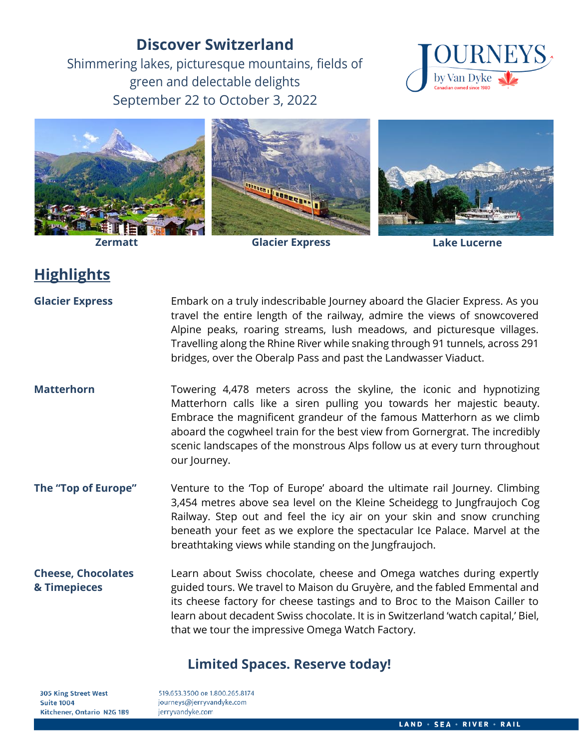# **Discover Switzerland**

Shimmering lakes, picturesque mountains, fields of green and delectable delights September 22 to October 3, 2022





**Zermatt Glacier Express Lake Lucerne**

# **Highlights**

**Glacier Express** Embark on a truly indescribable Journey aboard the Glacier Express. As you travel the entire length of the railway, admire the views of snowcovered Alpine peaks, roaring streams, lush meadows, and picturesque villages. Travelling along the Rhine River while snaking through 91 tunnels, across 291 bridges, over the Oberalp Pass and past the Landwasser Viaduct.

**Matterhorn** Towering 4,478 meters across the skyline, the iconic and hypnotizing Matterhorn calls like a siren pulling you towards her majestic beauty. Embrace the magnificent grandeur of the famous Matterhorn as we climb aboard the cogwheel train for the best view from Gornergrat. The incredibly scenic landscapes of the monstrous Alps follow us at every turn throughout our Journey.

**The "Top of Europe"** Venture to the 'Top of Europe' aboard the ultimate rail Journey. Climbing 3,454 metres above sea level on the Kleine Scheidegg to Jungfraujoch Cog Railway. Step out and feel the icy air on your skin and snow crunching beneath your feet as we explore the spectacular Ice Palace. Marvel at the breathtaking views while standing on the Jungfraujoch.

**Cheese, Chocolates & Timepieces** Learn about Swiss chocolate, cheese and Omega watches during expertly guided tours. We travel to Maison du Gruyère, and the fabled Emmental and its cheese factory for cheese tastings and to Broc to the Maison Cailler to learn about decadent Swiss chocolate. It is in Switzerland 'watch capital,' Biel, that we tour the impressive Omega Watch Factory.

# **Limited Spaces. Reserve today!**

**305 King Street West Suite 1004** Kitchener, Ontario N2G 1B9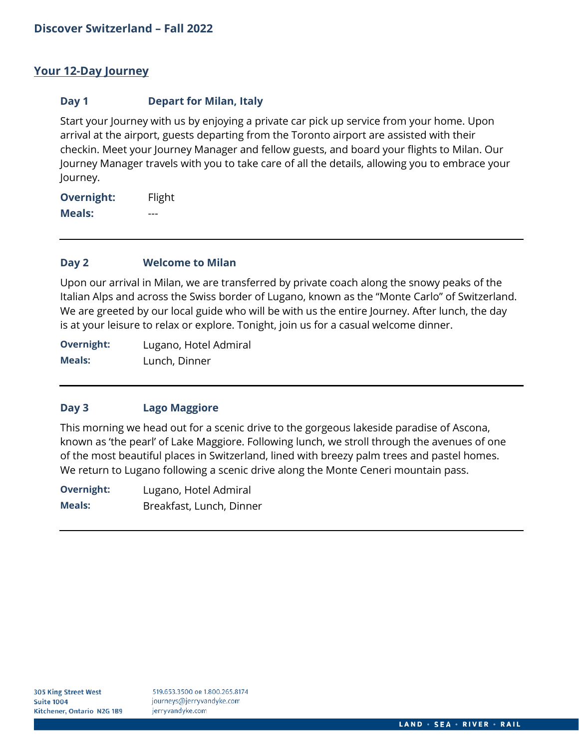# **Your 12-Day Journey**

### **Day 1 Depart for Milan, Italy**

Start your Journey with us by enjoying a private car pick up service from your home. Upon arrival at the airport, guests departing from the Toronto airport are assisted with their checkin. Meet your Journey Manager and fellow guests, and board your flights to Milan. Our Journey Manager travels with you to take care of all the details, allowing you to embrace your Journey.

**Overnight:** Flight **Meals:** ---

### **Day 2 Welcome to Milan**

Upon our arrival in Milan, we are transferred by private coach along the snowy peaks of the Italian Alps and across the Swiss border of Lugano, known as the "Monte Carlo" of Switzerland. We are greeted by our local guide who will be with us the entire Journey. After lunch, the day is at your leisure to relax or explore. Tonight, join us for a casual welcome dinner.

**Overnight:** Lugano, Hotel Admiral **Meals:** Lunch, Dinner

## **Day 3 Lago Maggiore**

This morning we head out for a scenic drive to the gorgeous lakeside paradise of Ascona, known as 'the pearl' of Lake Maggiore. Following lunch, we stroll through the avenues of one of the most beautiful places in Switzerland, lined with breezy palm trees and pastel homes. We return to Lugano following a scenic drive along the Monte Ceneri mountain pass.

**Overnight:** Lugano, Hotel Admiral **Meals:** Breakfast, Lunch, Dinner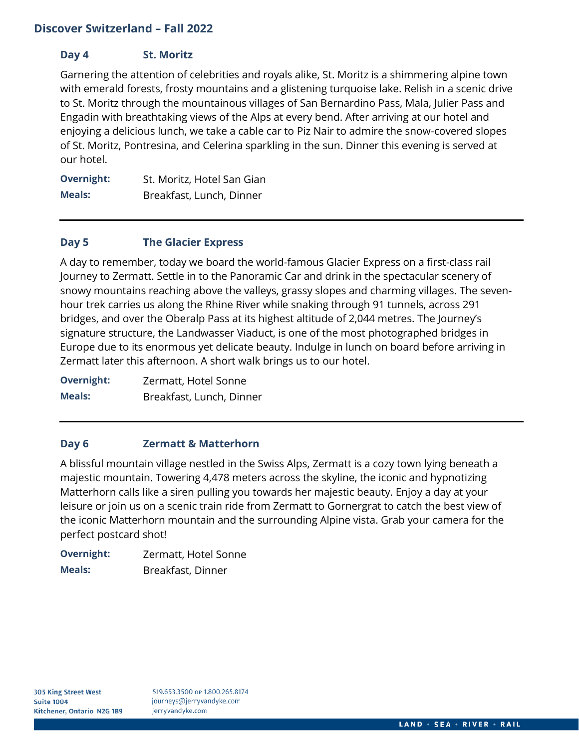# **Day 4 St. Moritz**

Garnering the attention of celebrities and royals alike, St. Moritz is a shimmering alpine town with emerald forests, frosty mountains and a glistening turquoise lake. Relish in a scenic drive to St. Moritz through the mountainous villages of San Bernardino Pass, Mala, Julier Pass and Engadin with breathtaking views of the Alps at every bend. After arriving at our hotel and enjoying a delicious lunch, we take a cable car to Piz Nair to admire the snow-covered slopes of St. Moritz, Pontresina, and Celerina sparkling in the sun. Dinner this evening is served at our hotel.

**Overnight:** St. Moritz, Hotel San Gian **Meals:** Breakfast, Lunch, Dinner

## **Day 5 The Glacier Express**

A day to remember, today we board the world-famous Glacier Express on a first-class rail Journey to Zermatt. Settle in to the Panoramic Car and drink in the spectacular scenery of snowy mountains reaching above the valleys, grassy slopes and charming villages. The sevenhour trek carries us along the Rhine River while snaking through 91 tunnels, across 291 bridges, and over the Oberalp Pass at its highest altitude of 2,044 metres. The Journey's signature structure, the Landwasser Viaduct, is one of the most photographed bridges in Europe due to its enormous yet delicate beauty. Indulge in lunch on board before arriving in Zermatt later this afternoon. A short walk brings us to our hotel.

**Overnight:** Zermatt, Hotel Sonne **Meals:** Breakfast, Lunch, Dinner

## **Day 6 Zermatt & Matterhorn**

A blissful mountain village nestled in the Swiss Alps, Zermatt is a cozy town lying beneath a majestic mountain. Towering 4,478 meters across the skyline, the iconic and hypnotizing Matterhorn calls like a siren pulling you towards her majestic beauty. Enjoy a day at your leisure or join us on a scenic train ride from Zermatt to Gornergrat to catch the best view of the iconic Matterhorn mountain and the surrounding Alpine vista. Grab your camera for the perfect postcard shot!

**Overnight:** Zermatt, Hotel Sonne **Meals:** Breakfast, Dinner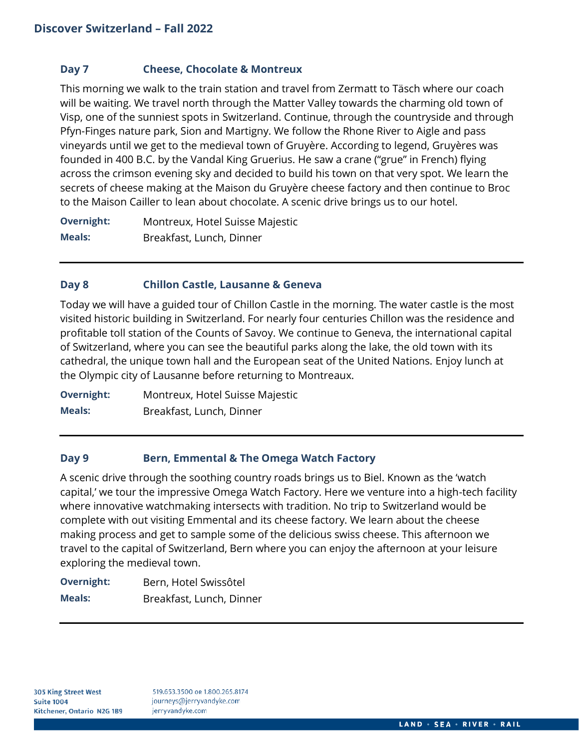## **Day 7 Cheese, Chocolate & Montreux**

This morning we walk to the train station and travel from Zermatt to Täsch where our coach will be waiting. We travel north through the Matter Valley towards the charming old town of Visp, one of the sunniest spots in Switzerland. Continue, through the countryside and through Pfyn-Finges nature park, Sion and Martigny. We follow the Rhone River to Aigle and pass vineyards until we get to the medieval town of Gruyère. According to legend, Gruyères was founded in 400 B.C. by the Vandal King Gruerius. He saw a crane ("grue" in French) flying across the crimson evening sky and decided to build his town on that very spot. We learn the secrets of cheese making at the Maison du Gruyère cheese factory and then continue to Broc to the Maison Cailler to lean about chocolate. A scenic drive brings us to our hotel.

**Overnight:** Montreux, Hotel Suisse Majestic **Meals:** Breakfast, Lunch, Dinner

### **Day 8 Chillon Castle, Lausanne & Geneva**

Today we will have a guided tour of Chillon Castle in the morning. The water castle is the most visited historic building in Switzerland. For nearly four centuries Chillon was the residence and profitable toll station of the Counts of Savoy. We continue to Geneva, the international capital of Switzerland, where you can see the beautiful parks along the lake, the old town with its cathedral, the unique town hall and the European seat of the United Nations. Enjoy lunch at the Olympic city of Lausanne before returning to Montreaux.

**Overnight:** Montreux, Hotel Suisse Majestic **Meals:** Breakfast, Lunch, Dinner

## **Day 9 Bern, Emmental & The Omega Watch Factory**

A scenic drive through the soothing country roads brings us to Biel. Known as the 'watch capital,' we tour the impressive Omega Watch Factory. Here we venture into a high-tech facility where innovative watchmaking intersects with tradition. No trip to Switzerland would be complete with out visiting Emmental and its cheese factory. We learn about the cheese making process and get to sample some of the delicious swiss cheese. This afternoon we travel to the capital of Switzerland, Bern where you can enjoy the afternoon at your leisure exploring the medieval town.

| <b>Overnight:</b> | Bern, Hotel Swissôtel    |
|-------------------|--------------------------|
| Meals:            | Breakfast, Lunch, Dinner |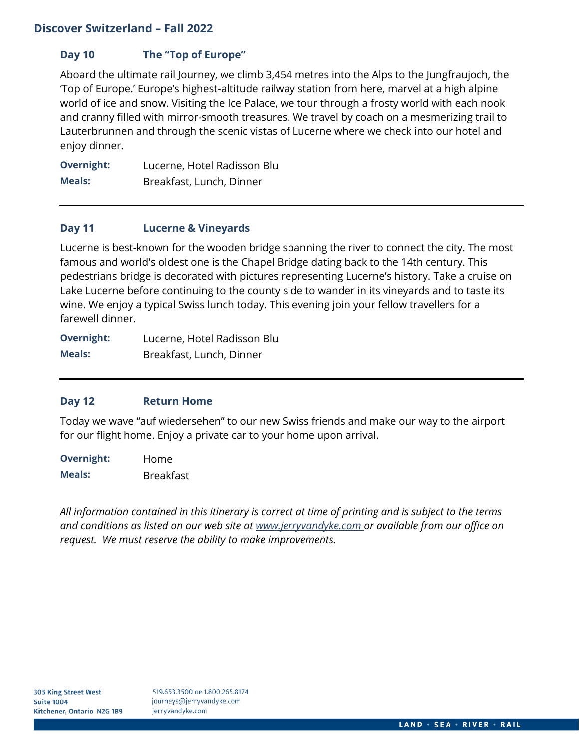# **Day 10 The "Top of Europe"**

Aboard the ultimate rail Journey, we climb 3,454 metres into the Alps to the Jungfraujoch, the 'Top of Europe.' Europe's highest-altitude railway station from here, marvel at a high alpine world of ice and snow. Visiting the Ice Palace, we tour through a frosty world with each nook and cranny filled with mirror-smooth treasures. We travel by coach on a mesmerizing trail to Lauterbrunnen and through the scenic vistas of Lucerne where we check into our hotel and enjoy dinner.

**Overnight:** Lucerne, Hotel Radisson Blu **Meals:** Breakfast, Lunch, Dinner

# **Day 11 Lucerne & Vineyards**

Lucerne is best-known for the wooden bridge spanning the river to connect the city. The most famous and world's oldest one is the Chapel Bridge dating back to the 14th century. This pedestrians bridge is decorated with pictures representing Lucerne's history. Take a cruise on Lake Lucerne before continuing to the county side to wander in its vineyards and to taste its wine. We enjoy a typical Swiss lunch today. This evening join your fellow travellers for a farewell dinner.

**Overnight:** Lucerne, Hotel Radisson Blu **Meals:** Breakfast, Lunch, Dinner

## **Day 12 Return Home**

Today we wave "auf wiedersehen" to our new Swiss friends and make our way to the airport for our flight home. Enjoy a private car to your home upon arrival.

**Overnight:** Home **Meals:** Breakfast

*All information contained in this itinerary is correct at time of printing and is subject to the terms and conditions as listed on our web site at [www.jerryvandyke.com o](http://www.jerryvandyke.com/)r available from our office on request. We must reserve the ability to make improvements.*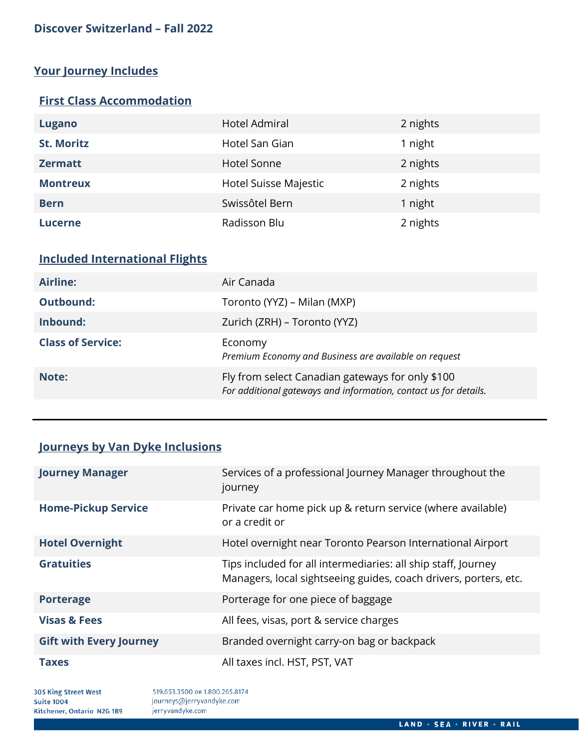# **Your Journey Includes**

# **First Class Accommodation**

| Lugano            | Hotel Admiral         | 2 nights |
|-------------------|-----------------------|----------|
| <b>St. Moritz</b> | Hotel San Gian        | 1 night  |
| <b>Zermatt</b>    | Hotel Sonne           | 2 nights |
| <b>Montreux</b>   | Hotel Suisse Majestic | 2 nights |
| <b>Bern</b>       | Swissôtel Bern        | 1 night  |
| <b>Lucerne</b>    | Radisson Blu          | 2 nights |

# **Included International Flights**

| Airline:                 | Air Canada                                                                                                           |
|--------------------------|----------------------------------------------------------------------------------------------------------------------|
| <b>Outbound:</b>         | Toronto (YYZ) – Milan (MXP)                                                                                          |
| Inbound:                 | Zurich (ZRH) – Toronto (YYZ)                                                                                         |
| <b>Class of Service:</b> | Economy<br>Premium Economy and Business are available on request                                                     |
| Note:                    | Fly from select Canadian gateways for only \$100<br>For additional gateways and information, contact us for details. |

# **Journeys by Van Dyke Inclusions**

| <b>Journey Manager</b>         | Services of a professional Journey Manager throughout the<br>journey                                                              |
|--------------------------------|-----------------------------------------------------------------------------------------------------------------------------------|
| <b>Home-Pickup Service</b>     | Private car home pick up & return service (where available)<br>or a credit or                                                     |
| <b>Hotel Overnight</b>         | Hotel overnight near Toronto Pearson International Airport                                                                        |
| <b>Gratuities</b>              | Tips included for all intermediaries: all ship staff, Journey<br>Managers, local sightseeing guides, coach drivers, porters, etc. |
| <b>Porterage</b>               | Porterage for one piece of baggage                                                                                                |
| <b>Visas &amp; Fees</b>        | All fees, visas, port & service charges                                                                                           |
| <b>Gift with Every Journey</b> | Branded overnight carry-on bag or backpack                                                                                        |
| <b>Taxes</b>                   | All taxes incl. HST, PST, VAT                                                                                                     |

305 King Street West **Suite 1004** Kitchener, Ontario N2G 1B9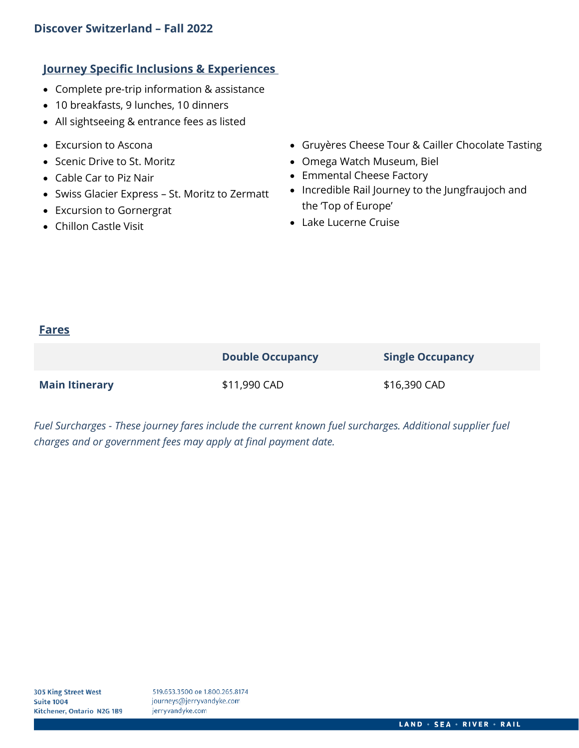# **Journey Specific Inclusions & Experiences**

- Complete pre-trip information & assistance
- 10 breakfasts, 9 lunches, 10 dinners
- All sightseeing & entrance fees as listed
- Excursion to Ascona
- Scenic Drive to St. Moritz
- Cable Car to Piz Nair
- Swiss Glacier Express St. Moritz to Zermatt
- Excursion to Gornergrat
- Chillon Castle Visit
- Gruyères Cheese Tour & Cailler Chocolate Tasting
- Omega Watch Museum, Biel
- Emmental Cheese Factory
- Incredible Rail Journey to the Jungfraujoch and the 'Top of Europe'
- Lake Lucerne Cruise

# **Fares**

|                       | <b>Double Occupancy</b> | <b>Single Occupancy</b> |
|-----------------------|-------------------------|-------------------------|
| <b>Main Itinerary</b> | \$11,990 CAD            | \$16,390 CAD            |

*Fuel Surcharges - These journey fares include the current known fuel surcharges. Additional supplier fuel charges and or government fees may apply at final payment date.*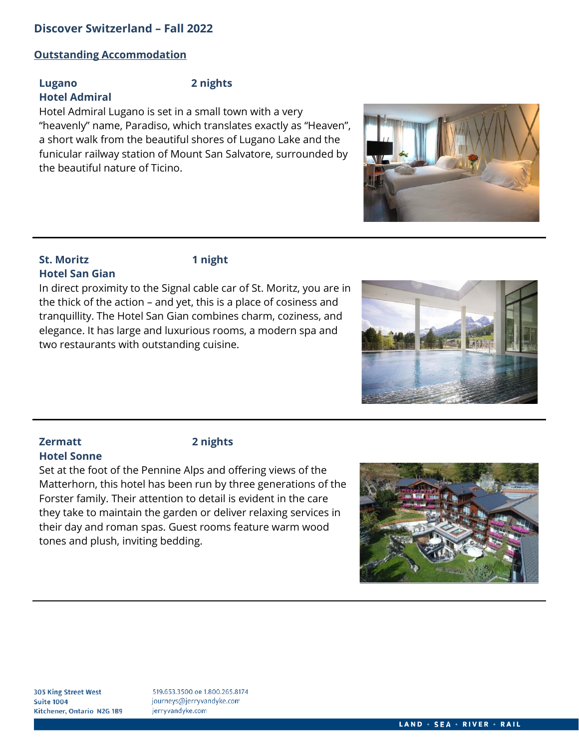#### **Outstanding Accommodation**

### **Lugano 2 nights Hotel Admiral**

Hotel Admiral Lugano is set in a small town with a very "heavenly" name, Paradiso, which translates exactly as "Heaven", a short walk from the beautiful shores of Lugano Lake and the funicular railway station of Mount San Salvatore, surrounded by the beautiful nature of Ticino.

## **St. Moritz 1 night Hotel San Gian**



In direct proximity to the Signal cable car of St. Moritz, you are in the thick of the action – and yet, this is a place of cosiness and tranquillity. The Hotel San Gian combines charm, coziness, and elegance. It has large and luxurious rooms, a modern spa and two restaurants with outstanding cuisine.



Set at the foot of the Pennine Alps and offering views of the Matterhorn, this hotel has been run by three generations of the Forster family. Their attention to detail is evident in the care they take to maintain the garden or deliver relaxing services in their day and roman spas. Guest rooms feature warm wood tones and plush, inviting bedding.







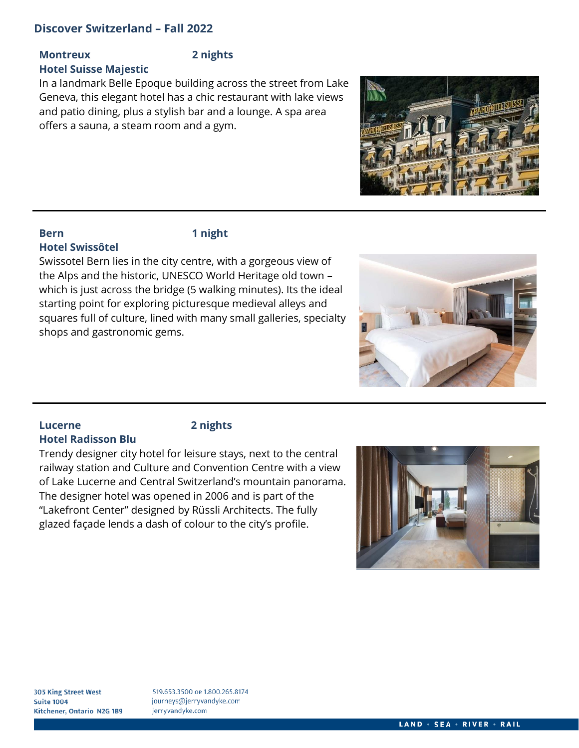# **Montreux 2 nights**

**Hotel Suisse Majestic**

In a landmark Belle Epoque building across the street from Lake Geneva, this elegant hotel has a chic restaurant with lake views and patio dining, plus a stylish bar and a lounge. A spa area offers a sauna, a steam room and a gym.



# **Bern 1 night Hotel Swissôtel**

Swissotel Bern lies in the city centre, with a gorgeous view of the Alps and the historic, UNESCO World Heritage old town – which is just across the bridge (5 walking minutes). Its the ideal starting point for exploring picturesque medieval alleys and squares full of culture, lined with many small galleries, specialty shops and gastronomic gems.



#### **Lucerne 2 nights Hotel Radisson Blu**

Trendy designer city hotel for leisure stays, next to the central railway station and Culture and Convention Centre with a view of Lake Lucerne and Central Switzerland's mountain panorama. The designer hotel was opened in 2006 and is part of the "Lakefront Center" designed by Rüssli Architects. The fully glazed façade lends a dash of colour to the city's profile.